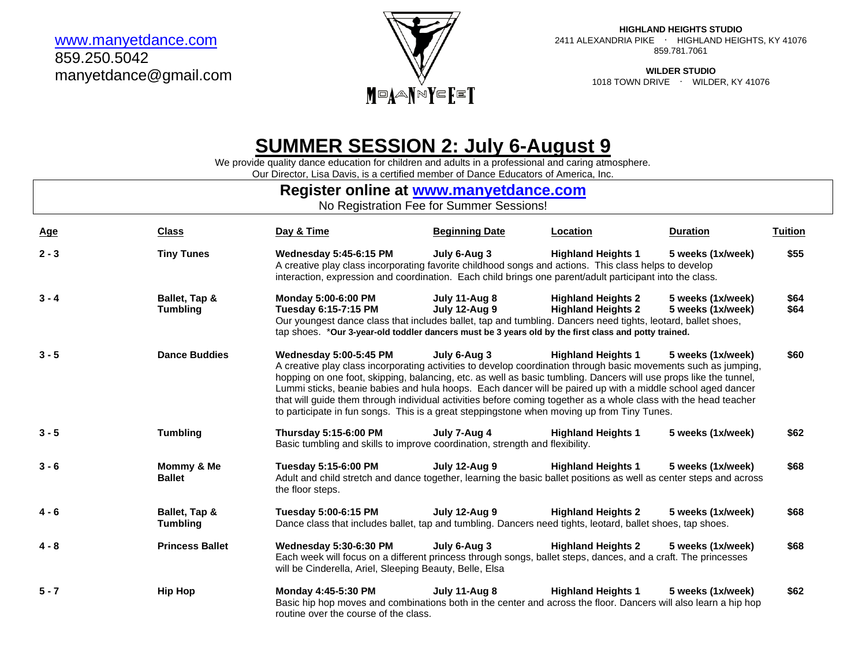[www.manyetdance.com](http://www.manyetdance.com/) 859.250.5042 manyetdance@gmail.com



**HIGHLAND HEIGHTS STUDIO** 2411 ALEXANDRIA PIKE ∙ HIGHLAND HEIGHTS, KY 41076 859.781.7061

> **WILDER STUDIO** 1018 TOWN DRIVE ∙ WILDER, KY 41076

# **SUMMER SESSION 2: July 6-August 9**

We provide quality dance education for children and adults in a professional and caring atmosphere.

Our Director, Lisa Davis, is a certified member of Dance Educators of America, Inc.

## **Register online at [www.manyetdance.com](http://www.manyetdance.com/)**

No Registration Fee for Summer Sessions!

| <b>Age</b> | <b>Class</b>                     | Day & Time                                                                                                                                                                                                                                                                                                                                                                                                                                                                                                                                                                                            | <b>Beginning Date</b>          | Location                                               | <b>Duration</b>                        | <b>Tuition</b> |
|------------|----------------------------------|-------------------------------------------------------------------------------------------------------------------------------------------------------------------------------------------------------------------------------------------------------------------------------------------------------------------------------------------------------------------------------------------------------------------------------------------------------------------------------------------------------------------------------------------------------------------------------------------------------|--------------------------------|--------------------------------------------------------|----------------------------------------|----------------|
| $2 - 3$    | <b>Tiny Tunes</b>                | <b>Wednesday 5:45-6:15 PM</b><br>A creative play class incorporating favorite childhood songs and actions. This class helps to develop<br>interaction, expression and coordination. Each child brings one parent/adult participant into the class.                                                                                                                                                                                                                                                                                                                                                    | July 6-Aug 3                   | <b>Highland Heights 1</b>                              | 5 weeks (1x/week)                      | \$55           |
| $3 - 4$    | Ballet, Tap &<br><b>Tumbling</b> | Monday 5:00-6:00 PM<br>Tuesday 6:15-7:15 PM<br>Our youngest dance class that includes ballet, tap and tumbling. Dancers need tights, leotard, ballet shoes,<br>tap shoes. *Our 3-year-old toddler dancers must be 3 years old by the first class and potty trained.                                                                                                                                                                                                                                                                                                                                   | July 11-Aug 8<br>July 12-Aug 9 | <b>Highland Heights 2</b><br><b>Highland Heights 2</b> | 5 weeks (1x/week)<br>5 weeks (1x/week) | \$64<br>\$64   |
| $3 - 5$    | <b>Dance Buddies</b>             | <b>Wednesday 5:00-5:45 PM</b><br>A creative play class incorporating activities to develop coordination through basic movements such as jumping,<br>hopping on one foot, skipping, balancing, etc. as well as basic tumbling. Dancers will use props like the tunnel,<br>Lummi sticks, beanie babies and hula hoops. Each dancer will be paired up with a middle school aged dancer<br>that will guide them through individual activities before coming together as a whole class with the head teacher<br>to participate in fun songs. This is a great steppingstone when moving up from Tiny Tunes. | July 6-Aug 3                   | <b>Highland Heights 1</b>                              | 5 weeks (1x/week)                      | \$60           |
| $3 - 5$    | <b>Tumbling</b>                  | <b>Thursday 5:15-6:00 PM</b><br>Basic tumbling and skills to improve coordination, strength and flexibility.                                                                                                                                                                                                                                                                                                                                                                                                                                                                                          | July 7-Aug 4                   | <b>Highland Heights 1</b>                              | 5 weeks (1x/week)                      | \$62           |
| $3 - 6$    | Mommy & Me<br><b>Ballet</b>      | Tuesday 5:15-6:00 PM<br>Adult and child stretch and dance together, learning the basic ballet positions as well as center steps and across<br>the floor steps.                                                                                                                                                                                                                                                                                                                                                                                                                                        | July 12-Aug 9                  | <b>Highland Heights 1</b>                              | 5 weeks (1x/week)                      | \$68           |
| $4 - 6$    | Ballet, Tap &<br><b>Tumbling</b> | Tuesday 5:00-6:15 PM<br>Dance class that includes ballet, tap and tumbling. Dancers need tights, leotard, ballet shoes, tap shoes.                                                                                                                                                                                                                                                                                                                                                                                                                                                                    | July 12-Aug 9                  | <b>Highland Heights 2</b>                              | 5 weeks (1x/week)                      | \$68           |
| $4 - 8$    | <b>Princess Ballet</b>           | Wednesday 5:30-6:30 PM<br>Each week will focus on a different princess through songs, ballet steps, dances, and a craft. The princesses<br>will be Cinderella, Ariel, Sleeping Beauty, Belle, Elsa                                                                                                                                                                                                                                                                                                                                                                                                    | July 6-Aug 3                   | <b>Highland Heights 2</b>                              | 5 weeks (1x/week)                      | \$68           |
| $5 - 7$    | <b>Hip Hop</b>                   | Monday 4:45-5:30 PM<br>Basic hip hop moves and combinations both in the center and across the floor. Dancers will also learn a hip hop<br>routine over the course of the class.                                                                                                                                                                                                                                                                                                                                                                                                                       | July 11-Aug 8                  | <b>Highland Heights 1</b>                              | 5 weeks (1x/week)                      | \$62           |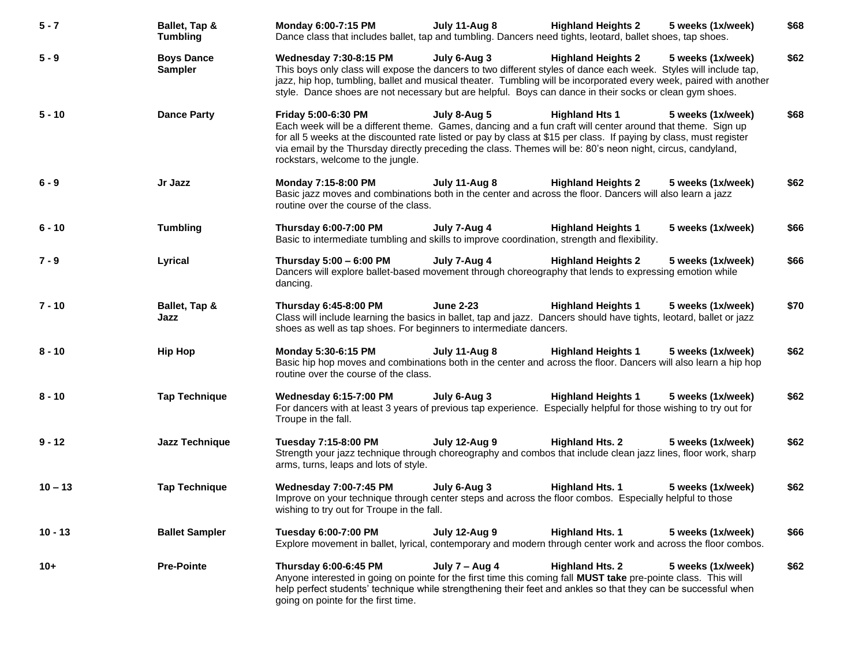| $5 - 7$   | Ballet, Tap &<br><b>Tumbling</b>    | Monday 6:00-7:15 PM<br>Dance class that includes ballet, tap and tumbling. Dancers need tights, leotard, ballet shoes, tap shoes.                                                                                                                                                                                                                                                                           | July 11-Aug 8    | <b>Highland Heights 2</b> | 5 weeks (1x/week) | \$68 |
|-----------|-------------------------------------|-------------------------------------------------------------------------------------------------------------------------------------------------------------------------------------------------------------------------------------------------------------------------------------------------------------------------------------------------------------------------------------------------------------|------------------|---------------------------|-------------------|------|
| $5 - 9$   | <b>Boys Dance</b><br><b>Sampler</b> | <b>Wednesday 7:30-8:15 PM</b><br>This boys only class will expose the dancers to two different styles of dance each week. Styles will include tap,<br>jazz, hip hop, tumbling, ballet and musical theater. Tumbling will be incorporated every week, paired with another<br>style. Dance shoes are not necessary but are helpful. Boys can dance in their socks or clean gym shoes.                         | July 6-Aug 3     | <b>Highland Heights 2</b> | 5 weeks (1x/week) | \$62 |
| $5 - 10$  | <b>Dance Party</b>                  | Friday 5:00-6:30 PM<br>Each week will be a different theme. Games, dancing and a fun craft will center around that theme. Sign up<br>for all 5 weeks at the discounted rate listed or pay by class at \$15 per class. If paying by class, must register<br>via email by the Thursday directly preceding the class. Themes will be: 80's neon night, circus, candyland,<br>rockstars, welcome to the jungle. | July 8-Aug 5     | <b>Highland Hts 1</b>     | 5 weeks (1x/week) | \$68 |
| $6 - 9$   | Jr Jazz                             | Monday 7:15-8:00 PM<br>Basic jazz moves and combinations both in the center and across the floor. Dancers will also learn a jazz<br>routine over the course of the class.                                                                                                                                                                                                                                   | July 11-Aug 8    | <b>Highland Heights 2</b> | 5 weeks (1x/week) | \$62 |
| $6 - 10$  | <b>Tumbling</b>                     | <b>Thursday 6:00-7:00 PM</b><br>Basic to intermediate tumbling and skills to improve coordination, strength and flexibility.                                                                                                                                                                                                                                                                                | July 7-Aug 4     | <b>Highland Heights 1</b> | 5 weeks (1x/week) | \$66 |
| $7 - 9$   | Lyrical                             | Thursday 5:00 - 6:00 PM<br>Dancers will explore ballet-based movement through choreography that lends to expressing emotion while<br>dancing.                                                                                                                                                                                                                                                               | July 7-Aug 4     | <b>Highland Heights 2</b> | 5 weeks (1x/week) | \$66 |
| $7 - 10$  | Ballet, Tap &<br>Jazz               | <b>Thursday 6:45-8:00 PM</b><br>Class will include learning the basics in ballet, tap and jazz. Dancers should have tights, leotard, ballet or jazz<br>shoes as well as tap shoes. For beginners to intermediate dancers.                                                                                                                                                                                   | <b>June 2-23</b> | <b>Highland Heights 1</b> | 5 weeks (1x/week) | \$70 |
| $8 - 10$  | <b>Hip Hop</b>                      | Monday 5:30-6:15 PM<br>Basic hip hop moves and combinations both in the center and across the floor. Dancers will also learn a hip hop<br>routine over the course of the class.                                                                                                                                                                                                                             | July 11-Aug 8    | <b>Highland Heights 1</b> | 5 weeks (1x/week) | \$62 |
| $8 - 10$  | <b>Tap Technique</b>                | Wednesday 6:15-7:00 PM<br>For dancers with at least 3 years of previous tap experience. Especially helpful for those wishing to try out for<br>Troupe in the fall.                                                                                                                                                                                                                                          | July 6-Aug 3     | <b>Highland Heights 1</b> | 5 weeks (1x/week) | \$62 |
| $9 - 12$  | Jazz Technique                      | Tuesday 7:15-8:00 PM<br>Strength your jazz technique through choreography and combos that include clean jazz lines, floor work, sharp<br>arms, turns, leaps and lots of style.                                                                                                                                                                                                                              | July 12-Aug 9    | <b>Highland Hts. 2</b>    | 5 weeks (1x/week) | \$62 |
| $10 - 13$ | <b>Tap Technique</b>                | <b>Wednesday 7:00-7:45 PM</b><br>Improve on your technique through center steps and across the floor combos. Especially helpful to those<br>wishing to try out for Troupe in the fall.                                                                                                                                                                                                                      | July 6-Aug 3     | <b>Highland Hts. 1</b>    | 5 weeks (1x/week) | \$62 |
| $10 - 13$ | <b>Ballet Sampler</b>               | Tuesday 6:00-7:00 PM<br>Explore movement in ballet, lyrical, contemporary and modern through center work and across the floor combos.                                                                                                                                                                                                                                                                       | July 12-Aug 9    | <b>Highland Hts. 1</b>    | 5 weeks (1x/week) | \$66 |
| $10+$     | <b>Pre-Pointe</b>                   | Thursday 6:00-6:45 PM<br>Anyone interested in going on pointe for the first time this coming fall MUST take pre-pointe class. This will<br>help perfect students' technique while strengthening their feet and ankles so that they can be successful when<br>going on pointe for the first time.                                                                                                            | July $7 - Aug 4$ | <b>Highland Hts. 2</b>    | 5 weeks (1x/week) | \$62 |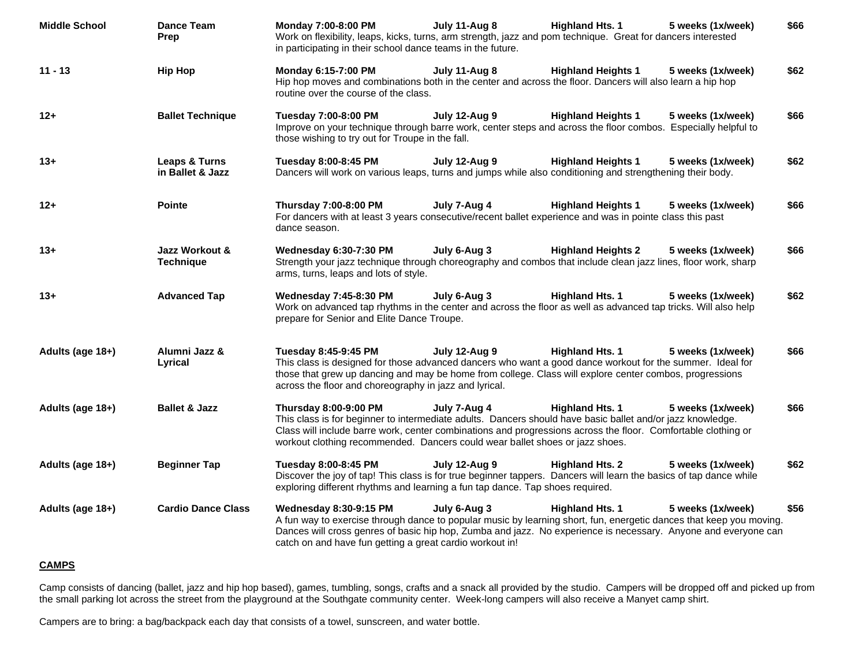| <b>Middle School</b> | <b>Dance Team</b><br>Prep          | July 11-Aug 8<br><b>Highland Hts. 1</b><br>Monday 7:00-8:00 PM<br>5 weeks (1x/week)<br>Work on flexibility, leaps, kicks, turns, arm strength, jazz and pom technique. Great for dancers interested<br>in participating in their school dance teams in the future.                                                                                                                                         | \$66 |
|----------------------|------------------------------------|------------------------------------------------------------------------------------------------------------------------------------------------------------------------------------------------------------------------------------------------------------------------------------------------------------------------------------------------------------------------------------------------------------|------|
| $11 - 13$            | <b>Hip Hop</b>                     | Monday 6:15-7:00 PM<br>July 11-Aug 8<br><b>Highland Heights 1</b><br>5 weeks (1x/week)<br>Hip hop moves and combinations both in the center and across the floor. Dancers will also learn a hip hop<br>routine over the course of the class.                                                                                                                                                               | \$62 |
| $12+$                | <b>Ballet Technique</b>            | Tuesday 7:00-8:00 PM<br><b>July 12-Aug 9</b><br><b>Highland Heights 1</b><br>5 weeks (1x/week)<br>Improve on your technique through barre work, center steps and across the floor combos. Especially helpful to<br>those wishing to try out for Troupe in the fall.                                                                                                                                        | \$66 |
| $13+$                | Leaps & Turns<br>in Ballet & Jazz  | Tuesday 8:00-8:45 PM<br>July 12-Aug 9<br><b>Highland Heights 1</b><br>5 weeks (1x/week)<br>Dancers will work on various leaps, turns and jumps while also conditioning and strengthening their body.                                                                                                                                                                                                       | \$62 |
| $12 +$               | <b>Pointe</b>                      | Thursday 7:00-8:00 PM<br>July 7-Aug 4<br><b>Highland Heights 1</b><br>5 weeks (1x/week)<br>For dancers with at least 3 years consecutive/recent ballet experience and was in pointe class this past<br>dance season.                                                                                                                                                                                       | \$66 |
| $13+$                | Jazz Workout &<br><b>Technique</b> | Wednesday 6:30-7:30 PM<br>July 6-Aug 3<br><b>Highland Heights 2</b><br>5 weeks (1x/week)<br>Strength your jazz technique through choreography and combos that include clean jazz lines, floor work, sharp<br>arms, turns, leaps and lots of style.                                                                                                                                                         | \$66 |
| $13+$                | <b>Advanced Tap</b>                | <b>Wednesday 7:45-8:30 PM</b><br>July 6-Aug 3<br><b>Highland Hts. 1</b><br>5 weeks (1x/week)<br>Work on advanced tap rhythms in the center and across the floor as well as advanced tap tricks. Will also help<br>prepare for Senior and Elite Dance Troupe.                                                                                                                                               | \$62 |
| Adults (age 18+)     | Alumni Jazz &<br>Lyrical           | <b>Highland Hts. 1</b><br>Tuesday 8:45-9:45 PM<br>July 12-Aug 9<br>5 weeks (1x/week)<br>This class is designed for those advanced dancers who want a good dance workout for the summer. Ideal for<br>those that grew up dancing and may be home from college. Class will explore center combos, progressions<br>across the floor and choreography in jazz and lyrical.                                     | \$66 |
| Adults (age 18+)     | <b>Ballet &amp; Jazz</b>           | <b>Thursday 8:00-9:00 PM</b><br>July 7-Aug 4<br><b>Highland Hts. 1</b><br>5 weeks (1x/week)<br>This class is for beginner to intermediate adults. Dancers should have basic ballet and/or jazz knowledge.<br>Class will include barre work, center combinations and progressions across the floor. Comfortable clothing or<br>workout clothing recommended. Dancers could wear ballet shoes or jazz shoes. | \$66 |
| Adults (age 18+)     | <b>Beginner Tap</b>                | Tuesday 8:00-8:45 PM<br>July 12-Aug 9<br><b>Highland Hts. 2</b><br>5 weeks (1x/week)<br>Discover the joy of tap! This class is for true beginner tappers. Dancers will learn the basics of tap dance while<br>exploring different rhythms and learning a fun tap dance. Tap shoes required.                                                                                                                | \$62 |
| Adults (age 18+)     | <b>Cardio Dance Class</b>          | <b>Wednesday 8:30-9:15 PM</b><br>July 6-Aug 3<br><b>Highland Hts. 1</b><br>5 weeks (1x/week)<br>A fun way to exercise through dance to popular music by learning short, fun, energetic dances that keep you moving.<br>Dances will cross genres of basic hip hop, Zumba and jazz. No experience is necessary. Anyone and everyone can<br>catch on and have fun getting a great cardio workout in!          | \$56 |

### **CAMPS**

Camp consists of dancing (ballet, jazz and hip hop based), games, tumbling, songs, crafts and a snack all provided by the studio. Campers will be dropped off and picked up from the small parking lot across the street from the playground at the Southgate community center. Week-long campers will also receive a Manyet camp shirt.

Campers are to bring: a bag/backpack each day that consists of a towel, sunscreen, and water bottle.